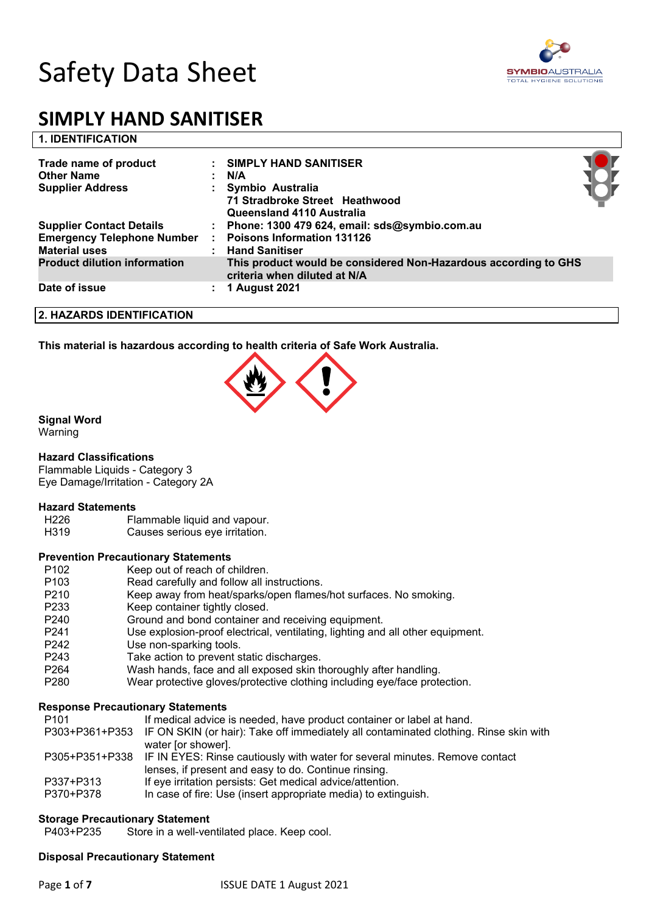



| <b>1. IDENTIFICATION</b>            |                                                                                                 |  |
|-------------------------------------|-------------------------------------------------------------------------------------------------|--|
| Trade name of product               | : SIMPLY HAND SANITISER                                                                         |  |
| <b>Other Name</b>                   | N/A                                                                                             |  |
| <b>Supplier Address</b>             | Symbio Australia<br>71 Stradbroke Street Heathwood<br>Queensland 4110 Australia                 |  |
| <b>Supplier Contact Details</b>     | Phone: 1300 479 624, email: sds@symbio.com.au                                                   |  |
| <b>Emergency Telephone Number</b>   | <b>Poisons Information 131126</b>                                                               |  |
| <b>Material uses</b>                | <b>Hand Sanitiser</b>                                                                           |  |
| <b>Product dilution information</b> | This product would be considered Non-Hazardous according to GHS<br>criteria when diluted at N/A |  |
| Date of issue                       | 1 August 2021                                                                                   |  |

## **2. HAZARDS IDENTIFICATION**

**This material is hazardous according to health criteria of Safe Work Australia.**



## **Signal Word**

Warning

### **Hazard Classifications**

Flammable Liquids - Category 3 Eye Damage/Irritation - Category 2A

#### **Hazard Statements**

H226 Flammable liquid and vapour.

H319 Causes serious eye irritation.

### **Prevention Precautionary Statements**

- P102 Keep out of reach of children.
- P103 Read carefully and follow all instructions.
- P210 Keep away from heat/sparks/open flames/hot surfaces. No smoking.
- P233 Keep container tightly closed.
- P240 Ground and bond container and receiving equipment.
- P241 Use explosion-proof electrical, ventilating, lighting and all other equipment.
- P242 Use non-sparking tools.
- P243 Take action to prevent static discharges.
- P264 Wash hands, face and all exposed skin thoroughly after handling.
- P280 Wear protective gloves/protective clothing including eye/face protection.

### **Response Precautionary Statements**

P101 If medical advice is needed, have product container or label at hand.

- P303+P361+P353 IF ON SKIN (or hair): Take off immediately all contaminated clothing. Rinse skin with water [or shower].
- P305+P351+P338 IF IN EYES: Rinse cautiously with water for several minutes. Remove contact lenses, if present and easy to do. Continue rinsing.
- P337+P313 If eye irritation persists: Get medical advice/attention.
- P370+P378 In case of fire: Use (insert appropriate media) to extinguish.

### **Storage Precautionary Statement**

P403+P235 Store in a well-ventilated place. Keep cool.

### **Disposal Precautionary Statement**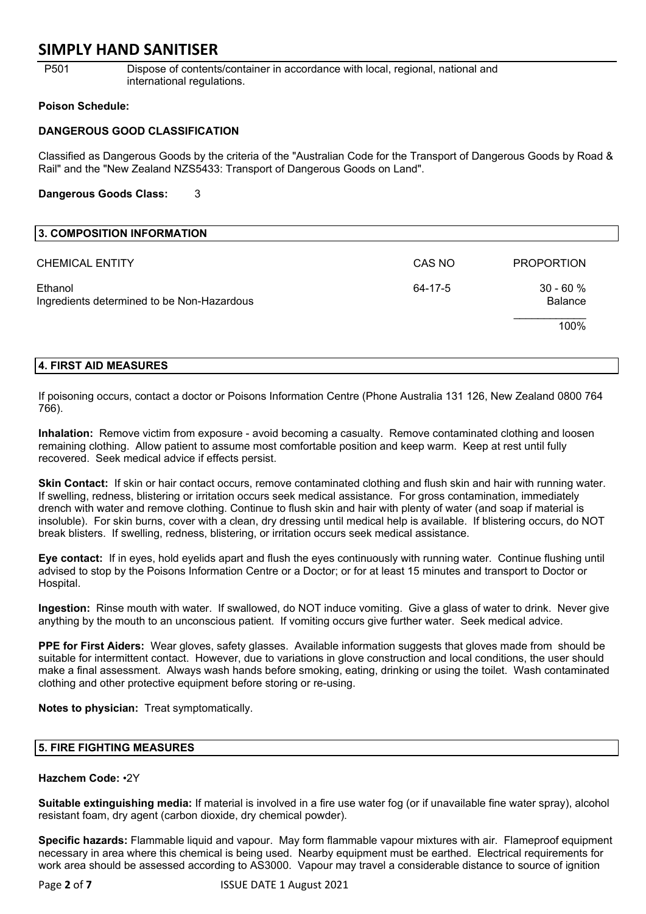P501 Dispose of contents/container in accordance with local, regional, national and international regulations.

### **Poison Schedule:**

## **DANGEROUS GOOD CLASSIFICATION**

Classified as Dangerous Goods by the criteria of the "Australian Code for the Transport of Dangerous Goods by Road & Rail" and the "New Zealand NZS5433: Transport of Dangerous Goods on Land".

### **Dangerous Goods Class:** 3

| 3. COMPOSITION INFORMATION                            |         |                              |
|-------------------------------------------------------|---------|------------------------------|
| <b>CHEMICAL ENTITY</b>                                | CAS NO  | <b>PROPORTION</b>            |
| Ethanol<br>Ingredients determined to be Non-Hazardous | 64-17-5 | $30 - 60%$<br><b>Balance</b> |
|                                                       |         | 100%                         |

### **4. FIRST AID MEASURES**

If poisoning occurs, contact a doctor or Poisons Information Centre (Phone Australia 131 126, New Zealand 0800 764 766).

**Inhalation:** Remove victim from exposure - avoid becoming a casualty. Remove contaminated clothing and loosen remaining clothing. Allow patient to assume most comfortable position and keep warm. Keep at rest until fully recovered. Seek medical advice if effects persist.

**Skin Contact:** If skin or hair contact occurs, remove contaminated clothing and flush skin and hair with running water. If swelling, redness, blistering or irritation occurs seek medical assistance. For gross contamination, immediately drench with water and remove clothing. Continue to flush skin and hair with plenty of water (and soap if material is insoluble). For skin burns, cover with a clean, dry dressing until medical help is available. If blistering occurs, do NOT break blisters. If swelling, redness, blistering, or irritation occurs seek medical assistance.

**Eye contact:** If in eyes, hold eyelids apart and flush the eyes continuously with running water. Continue flushing until advised to stop by the Poisons Information Centre or a Doctor; or for at least 15 minutes and transport to Doctor or Hospital.

**Ingestion:** Rinse mouth with water. If swallowed, do NOT induce vomiting. Give a glass of water to drink. Never give anything by the mouth to an unconscious patient. If vomiting occurs give further water. Seek medical advice.

**PPE for First Aiders:** Wear gloves, safety glasses. Available information suggests that gloves made from should be suitable for intermittent contact. However, due to variations in glove construction and local conditions, the user should make a final assessment. Always wash hands before smoking, eating, drinking or using the toilet. Wash contaminated clothing and other protective equipment before storing or re-using.

**Notes to physician:** Treat symptomatically.

## **5. FIRE FIGHTING MEASURES**

## **Hazchem Code:** •2Y

**Suitable extinguishing media:** If material is involved in a fire use water fog (or if unavailable fine water spray), alcohol resistant foam, dry agent (carbon dioxide, dry chemical powder).

**Specific hazards:** Flammable liquid and vapour. May form flammable vapour mixtures with air. Flameproof equipment necessary in area where this chemical is being used. Nearby equipment must be earthed. Electrical requirements for work area should be assessed according to AS3000. Vapour may travel a considerable distance to source of ignition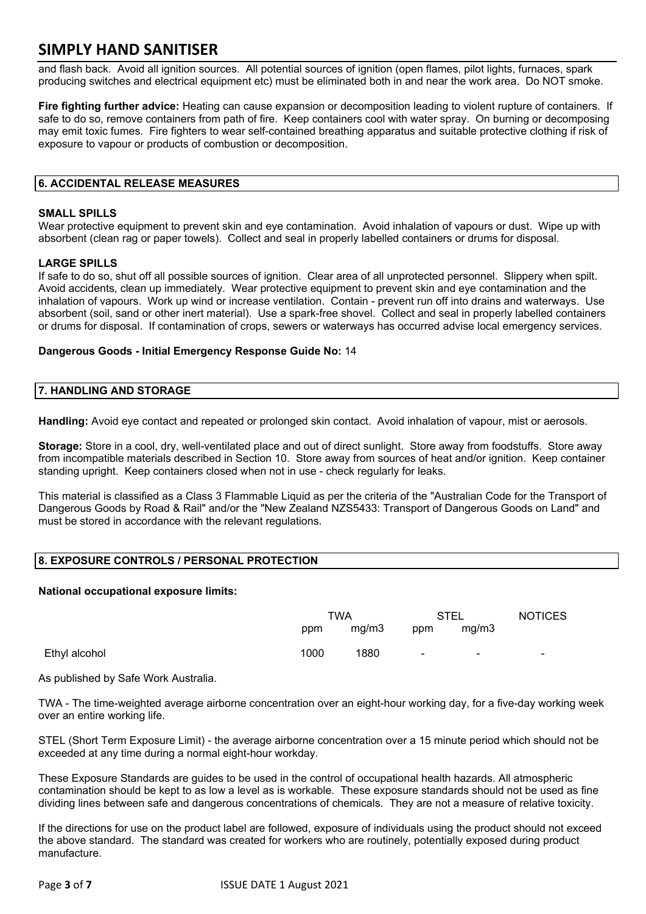and flash back. Avoid all ignition sources. All potential sources of ignition (open flames, pilot lights, furnaces, spark producing switches and electrical equipment etc) must be eliminated both in and near the work area. Do NOT smoke.

**Fire fighting further advice:** Heating can cause expansion or decomposition leading to violent rupture of containers. If safe to do so, remove containers from path of fire. Keep containers cool with water spray. On burning or decomposing may emit toxic fumes. Fire fighters to wear self-contained breathing apparatus and suitable protective clothing if risk of exposure to vapour or products of combustion or decomposition.

## **6. ACCIDENTAL RELEASE MEASURES**

### **SMALL SPILLS**

Wear protective equipment to prevent skin and eye contamination. Avoid inhalation of vapours or dust. Wipe up with absorbent (clean rag or paper towels). Collect and seal in properly labelled containers or drums for disposal.

### **LARGE SPILLS**

If safe to do so, shut off all possible sources of ignition. Clear area of all unprotected personnel. Slippery when spilt. Avoid accidents, clean up immediately. Wear protective equipment to prevent skin and eye contamination and the inhalation of vapours. Work up wind or increase ventilation. Contain - prevent run off into drains and waterways. Use absorbent (soil, sand or other inert material). Use a spark-free shovel. Collect and seal in properly labelled containers or drums for disposal. If contamination of crops, sewers or waterways has occurred advise local emergency services.

## **Dangerous Goods - Initial Emergency Response Guide No:** 14

## **7. HANDLING AND STORAGE**

**Handling:** Avoid eye contact and repeated or prolonged skin contact. Avoid inhalation of vapour, mist or aerosols.

**Storage:** Store in a cool, dry, well-ventilated place and out of direct sunlight. Store away from foodstuffs. Store away from incompatible materials described in Section 10. Store away from sources of heat and/or ignition. Keep container standing upright. Keep containers closed when not in use - check regularly for leaks.

This material is classified as a Class 3 Flammable Liquid as per the criteria of the "Australian Code for the Transport of Dangerous Goods by Road & Rail" and/or the "New Zealand NZS5433: Transport of Dangerous Goods on Land" and must be stored in accordance with the relevant regulations.

## **8. EXPOSURE CONTROLS / PERSONAL PROTECTION**

### **National occupational exposure limits:**

|               | TWA  |       | <b>STEL</b>    |        | <b>NOTICES</b> |
|---------------|------|-------|----------------|--------|----------------|
|               | ppm  | mg/m3 | ppm            | mg/m3  |                |
| Ethyl alcohol | 1000 | 1880  | $\blacksquare$ | $\sim$ | $\blacksquare$ |

As published by Safe Work Australia.

TWA - The time-weighted average airborne concentration over an eight-hour working day, for a five-day working week over an entire working life.

STEL (Short Term Exposure Limit) - the average airborne concentration over a 15 minute period which should not be exceeded at any time during a normal eight-hour workday.

These Exposure Standards are guides to be used in the control of occupational health hazards. All atmospheric contamination should be kept to as low a level as is workable. These exposure standards should not be used as fine dividing lines between safe and dangerous concentrations of chemicals. They are not a measure of relative toxicity.

If the directions for use on the product label are followed, exposure of individuals using the product should not exceed the above standard. The standard was created for workers who are routinely, potentially exposed during product manufacture.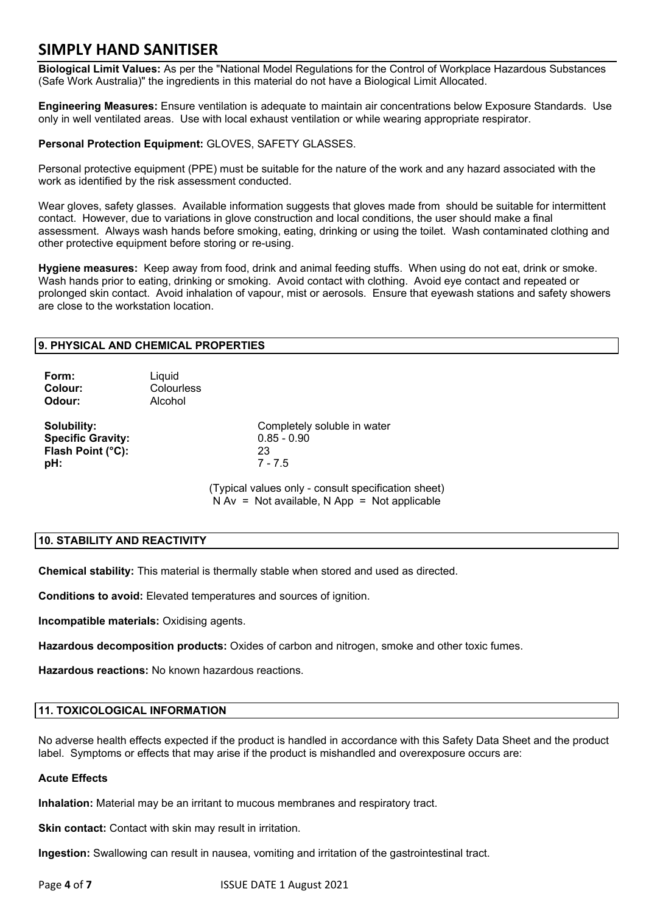**Biological Limit Values:** As per the "National Model Regulations for the Control of Workplace Hazardous Substances (Safe Work Australia)" the ingredients in this material do not have a Biological Limit Allocated.

**Engineering Measures:** Ensure ventilation is adequate to maintain air concentrations below Exposure Standards. Use only in well ventilated areas. Use with local exhaust ventilation or while wearing appropriate respirator.

## **Personal Protection Equipment:** GLOVES, SAFETY GLASSES.

Personal protective equipment (PPE) must be suitable for the nature of the work and any hazard associated with the work as identified by the risk assessment conducted.

Wear gloves, safety glasses. Available information suggests that gloves made from should be suitable for intermittent contact. However, due to variations in glove construction and local conditions, the user should make a final assessment. Always wash hands before smoking, eating, drinking or using the toilet. Wash contaminated clothing and other protective equipment before storing or re-using.

**Hygiene measures:** Keep away from food, drink and animal feeding stuffs. When using do not eat, drink or smoke. Wash hands prior to eating, drinking or smoking. Avoid contact with clothing. Avoid eye contact and repeated or prolonged skin contact. Avoid inhalation of vapour, mist or aerosols. Ensure that eyewash stations and safety showers are close to the workstation location.

## **9. PHYSICAL AND CHEMICAL PROPERTIES**

| Form:<br>Colour:<br>Odour:                                          | Liquid<br>Colourless<br>Alcohol |                                                                                                       |
|---------------------------------------------------------------------|---------------------------------|-------------------------------------------------------------------------------------------------------|
| Solubility:<br><b>Specific Gravity:</b><br>Flash Point (°C):<br>pH: |                                 | Completely soluble in water<br>$0.85 - 0.90$<br>23<br>$7 - 7.5$                                       |
|                                                                     |                                 | (Typical values only - consult specification sheet)<br>$N Av = Not available, N App = Not applicable$ |

## **10. STABILITY AND REACTIVITY**

**Chemical stability:** This material is thermally stable when stored and used as directed.

**Conditions to avoid:** Elevated temperatures and sources of ignition.

**Incompatible materials:** Oxidising agents.

**Hazardous decomposition products:** Oxides of carbon and nitrogen, smoke and other toxic fumes.

**Hazardous reactions:** No known hazardous reactions.

## **11. TOXICOLOGICAL INFORMATION**

No adverse health effects expected if the product is handled in accordance with this Safety Data Sheet and the product label. Symptoms or effects that may arise if the product is mishandled and overexposure occurs are:

### **Acute Effects**

**Inhalation:** Material may be an irritant to mucous membranes and respiratory tract.

**Skin contact:** Contact with skin may result in irritation.

**Ingestion:** Swallowing can result in nausea, vomiting and irritation of the gastrointestinal tract.

Page **4** of **7** ISSUE DATE 1 August 2021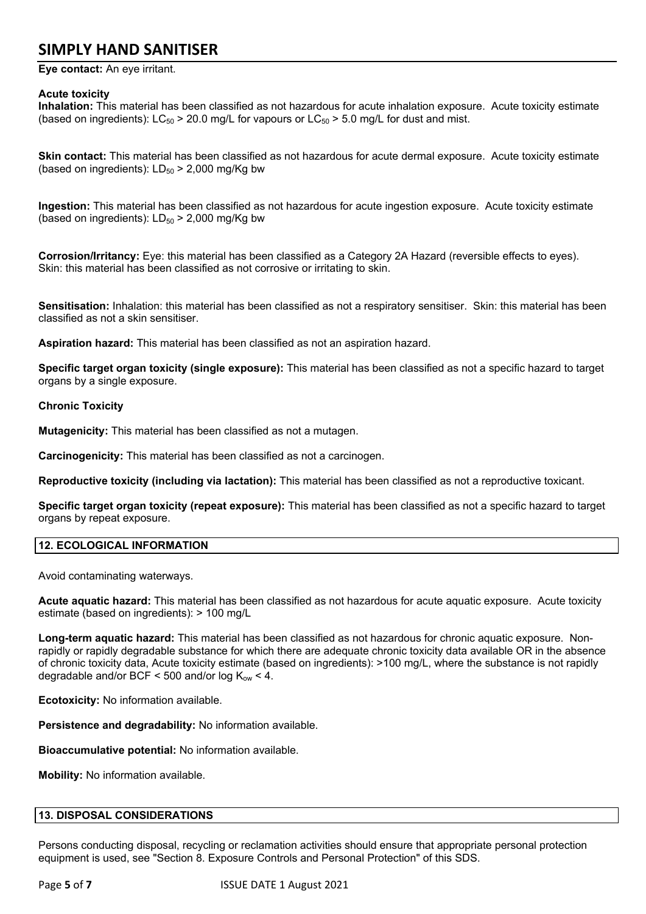**Eye contact:** An eye irritant.

## **Acute toxicity**

**Inhalation:** This material has been classified as not hazardous for acute inhalation exposure. Acute toxicity estimate (based on ingredients):  $LC_{50}$  > 20.0 mg/L for vapours or  $LC_{50}$  > 5.0 mg/L for dust and mist.

**Skin contact:** This material has been classified as not hazardous for acute dermal exposure. Acute toxicity estimate (based on ingredients):  $LD_{50}$  > 2,000 mg/Kg bw

**Ingestion:** This material has been classified as not hazardous for acute ingestion exposure. Acute toxicity estimate (based on ingredients):  $LD_{50}$  > 2,000 mg/Kg bw

**Corrosion/Irritancy:** Eye: this material has been classified as a Category 2A Hazard (reversible effects to eyes). Skin: this material has been classified as not corrosive or irritating to skin.

**Sensitisation:** Inhalation: this material has been classified as not a respiratory sensitiser. Skin: this material has been classified as not a skin sensitiser.

**Aspiration hazard:** This material has been classified as not an aspiration hazard.

**Specific target organ toxicity (single exposure):** This material has been classified as not a specific hazard to target organs by a single exposure.

## **Chronic Toxicity**

**Mutagenicity:** This material has been classified as not a mutagen.

**Carcinogenicity:** This material has been classified as not a carcinogen.

**Reproductive toxicity (including via lactation):** This material has been classified as not a reproductive toxicant.

**Specific target organ toxicity (repeat exposure):** This material has been classified as not a specific hazard to target organs by repeat exposure.

## **12. ECOLOGICAL INFORMATION**

Avoid contaminating waterways.

**Acute aquatic hazard:** This material has been classified as not hazardous for acute aquatic exposure. Acute toxicity estimate (based on ingredients): > 100 mg/L

**Long-term aquatic hazard:** This material has been classified as not hazardous for chronic aquatic exposure. Nonrapidly or rapidly degradable substance for which there are adequate chronic toxicity data available OR in the absence of chronic toxicity data, Acute toxicity estimate (based on ingredients): >100 mg/L, where the substance is not rapidly degradable and/or BCF < 500 and/or  $log K_{ow}$  < 4.

**Ecotoxicity:** No information available.

**Persistence and degradability:** No information available.

**Bioaccumulative potential:** No information available.

**Mobility:** No information available.

## **13. DISPOSAL CONSIDERATIONS**

Persons conducting disposal, recycling or reclamation activities should ensure that appropriate personal protection equipment is used, see "Section 8. Exposure Controls and Personal Protection" of this SDS.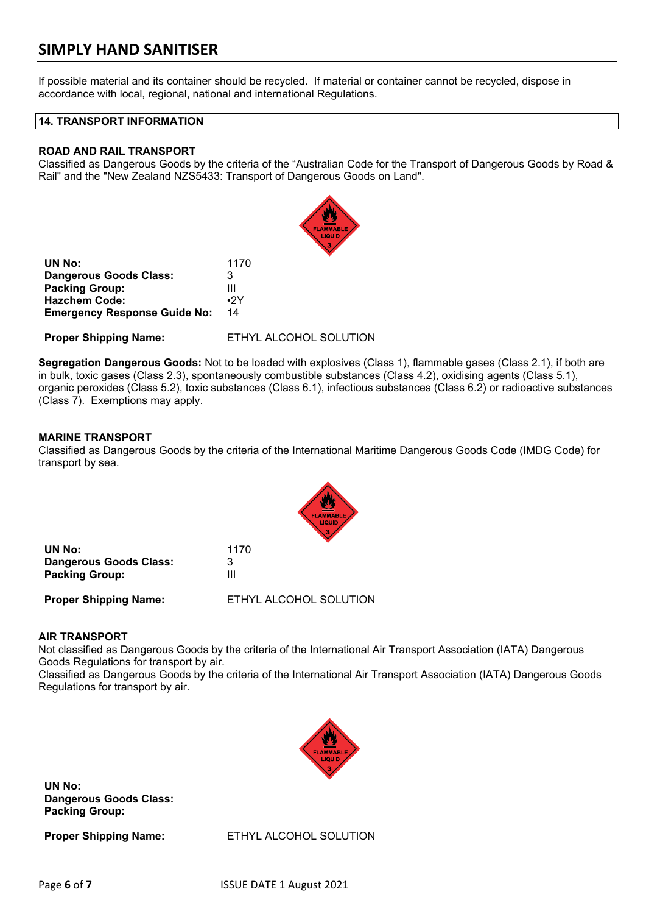If possible material and its container should be recycled. If material or container cannot be recycled, dispose in accordance with local, regional, national and international Regulations.

## **14. TRANSPORT INFORMATION**

### **ROAD AND RAIL TRANSPORT**

Classified as Dangerous Goods by the criteria of the "Australian Code for the Transport of Dangerous Goods by Road & Rail" and the "New Zealand NZS5433: Transport of Dangerous Goods on Land".

|                                     | LIQUID                 |
|-------------------------------------|------------------------|
| UN No:                              | 1170                   |
| Dangerous Goods Class:              | 3                      |
| <b>Packing Group:</b>               | Ш                      |
| <b>Hazchem Code:</b>                | $\cdot$ 2Y             |
| <b>Emergency Response Guide No:</b> | 14                     |
| <b>Proper Shipping Name:</b>        | ETHYL ALCOHOL SOLUTION |

**Segregation Dangerous Goods:** Not to be loaded with explosives (Class 1), flammable gases (Class 2.1), if both are in bulk, toxic gases (Class 2.3), spontaneously combustible substances (Class 4.2), oxidising agents (Class 5.1), organic peroxides (Class 5.2), toxic substances (Class 6.1), infectious substances (Class 6.2) or radioactive substances (Class 7). Exemptions may apply.

## **MARINE TRANSPORT**

Classified as Dangerous Goods by the criteria of the International Maritime Dangerous Goods Code (IMDG Code) for transport by sea.



| UN No:                        | 1170                   |
|-------------------------------|------------------------|
| <b>Dangerous Goods Class:</b> | З                      |
| <b>Packing Group:</b>         | Ш                      |
| <b>Proper Shipping Name:</b>  | ETHYL ALCOHOL SOLUTION |

### **AIR TRANSPORT**

Not classified as Dangerous Goods by the criteria of the International Air Transport Association (IATA) Dangerous Goods Regulations for transport by air.

Classified as Dangerous Goods by the criteria of the International Air Transport Association (IATA) Dangerous Goods Regulations for transport by air.



**UN No: Dangerous Goods Class: Packing Group:**

**Proper Shipping Name:** ETHYL ALCOHOL SOLUTION